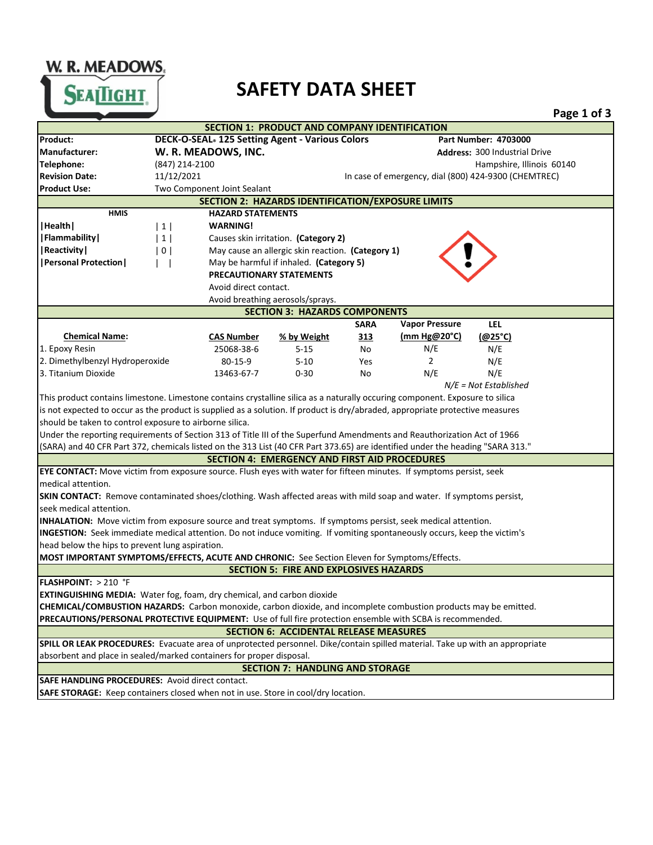## W. R. MEADOWS.

## **SAFETY DATA SHEET**

|                                                                                                                                |                                                                                |                                                   |             |                       |                                                      | Page 1 of 3 |  |
|--------------------------------------------------------------------------------------------------------------------------------|--------------------------------------------------------------------------------|---------------------------------------------------|-------------|-----------------------|------------------------------------------------------|-------------|--|
|                                                                                                                                |                                                                                | SECTION 1: PRODUCT AND COMPANY IDENTIFICATION     |             |                       |                                                      |             |  |
| Product:                                                                                                                       | DECK-O-SEAL. 125 Setting Agent - Various Colors<br><b>Part Number: 4703000</b> |                                                   |             |                       |                                                      |             |  |
| <b>Manufacturer:</b>                                                                                                           | W. R. MEADOWS, INC.                                                            |                                                   |             |                       | <b>Address: 300 Industrial Drive</b>                 |             |  |
| Telephone:                                                                                                                     | (847) 214-2100                                                                 |                                                   |             |                       | Hampshire, Illinois 60140                            |             |  |
| <b>Revision Date:</b>                                                                                                          | 11/12/2021                                                                     |                                                   |             |                       | In case of emergency, dial (800) 424-9300 (CHEMTREC) |             |  |
| <b>Product Use:</b>                                                                                                            | Two Component Joint Sealant                                                    |                                                   |             |                       |                                                      |             |  |
| <b>SECTION 2: HAZARDS IDENTIFICATION/EXPOSURE LIMITS</b>                                                                       |                                                                                |                                                   |             |                       |                                                      |             |  |
| <b>HMIS</b>                                                                                                                    | <b>HAZARD STATEMENTS</b>                                                       |                                                   |             |                       |                                                      |             |  |
| Health                                                                                                                         | <b>WARNING!</b><br>$1 \vert$                                                   |                                                   |             |                       |                                                      |             |  |
| Flammability                                                                                                                   | 1                                                                              | Causes skin irritation. (Category 2)              |             |                       |                                                      |             |  |
| Reactivity                                                                                                                     | 0 <sup>1</sup>                                                                 | May cause an allergic skin reaction. (Category 1) |             |                       |                                                      |             |  |
| <b>  Personal Protection  </b>                                                                                                 |                                                                                | May be harmful if inhaled. (Category 5)           |             |                       |                                                      |             |  |
|                                                                                                                                |                                                                                | PRECAUTIONARY STATEMENTS                          |             |                       |                                                      |             |  |
|                                                                                                                                | Avoid direct contact.                                                          |                                                   |             |                       |                                                      |             |  |
|                                                                                                                                |                                                                                | Avoid breathing aerosols/sprays.                  |             |                       |                                                      |             |  |
| <b>SECTION 3: HAZARDS COMPONENTS</b>                                                                                           |                                                                                |                                                   |             |                       |                                                      |             |  |
|                                                                                                                                |                                                                                |                                                   | <b>SARA</b> | <b>Vapor Pressure</b> | <b>LEL</b>                                           |             |  |
| <b>Chemical Name:</b>                                                                                                          | <b>CAS Number</b>                                                              | % by Weight                                       | 313         | (mm Hg@20°C)          | (@25°C)                                              |             |  |
| 1. Epoxy Resin                                                                                                                 | 25068-38-6                                                                     | $5 - 15$                                          | No          | N/E                   | N/E                                                  |             |  |
| 2. Dimethylbenzyl Hydroperoxide                                                                                                | $80 - 15 - 9$                                                                  | $5 - 10$                                          | Yes         | 2                     | N/E                                                  |             |  |
| 3. Titanium Dioxide                                                                                                            | 13463-67-7                                                                     | $0 - 30$                                          | No          | N/E                   | N/E                                                  |             |  |
|                                                                                                                                |                                                                                |                                                   |             |                       | $N/E = Not$ Established                              |             |  |
| This product contains limestone. Limestone contains crystalline silica as a naturally occuring component. Exposure to silica   |                                                                                |                                                   |             |                       |                                                      |             |  |
| is not expected to occur as the product is supplied as a solution. If product is dry/abraded, appropriate protective measures  |                                                                                |                                                   |             |                       |                                                      |             |  |
| should be taken to control exposure to airborne silica.                                                                        |                                                                                |                                                   |             |                       |                                                      |             |  |
| Under the reporting requirements of Section 313 of Title III of the Superfund Amendments and Reauthorization Act of 1966       |                                                                                |                                                   |             |                       |                                                      |             |  |
| (SARA) and 40 CFR Part 372, chemicals listed on the 313 List (40 CFR Part 373.65) are identified under the heading "SARA 313." |                                                                                |                                                   |             |                       |                                                      |             |  |
| <b>SECTION 4: EMERGENCY AND FIRST AID PROCEDURES</b>                                                                           |                                                                                |                                                   |             |                       |                                                      |             |  |
| EYE CONTACT: Move victim from exposure source. Flush eyes with water for fifteen minutes. If symptoms persist, seek            |                                                                                |                                                   |             |                       |                                                      |             |  |
| medical attention.                                                                                                             |                                                                                |                                                   |             |                       |                                                      |             |  |
| <b>SKIN CONTACT:</b> Remove contaminated shoes/clothing. Wash affected areas with mild soap and water. If symptoms persist,    |                                                                                |                                                   |             |                       |                                                      |             |  |
| seek medical attention.                                                                                                        |                                                                                |                                                   |             |                       |                                                      |             |  |
| INHALATION: Move victim from exposure source and treat symptoms. If symptoms persist, seek medical attention.                  |                                                                                |                                                   |             |                       |                                                      |             |  |
| INGESTION: Seek immediate medical attention. Do not induce vomiting. If vomiting spontaneously occurs, keep the victim's       |                                                                                |                                                   |             |                       |                                                      |             |  |
| head below the hips to prevent lung aspiration.                                                                                |                                                                                |                                                   |             |                       |                                                      |             |  |
| MOST IMPORTANT SYMPTOMS/EFFECTS, ACUTE AND CHRONIC: See Section Eleven for Symptoms/Effects.                                   |                                                                                |                                                   |             |                       |                                                      |             |  |
| <b>SECTION 5: FIRE AND EXPLOSIVES HAZARDS</b>                                                                                  |                                                                                |                                                   |             |                       |                                                      |             |  |
| <b>FLASHPOINT:</b> $> 210$ °F                                                                                                  |                                                                                |                                                   |             |                       |                                                      |             |  |
| <b>EXTINGUISHING MEDIA:</b> Water fog, foam, dry chemical, and carbon dioxide                                                  |                                                                                |                                                   |             |                       |                                                      |             |  |
| CHEMICAL/COMBUSTION HAZARDS: Carbon monoxide, carbon dioxide, and incomplete combustion products may be emitted.               |                                                                                |                                                   |             |                       |                                                      |             |  |
| PRECAUTIONS/PERSONAL PROTECTIVE EQUIPMENT: Use of full fire protection ensemble with SCBA is recommended.                      |                                                                                |                                                   |             |                       |                                                      |             |  |
| <b>SECTION 6: ACCIDENTAL RELEASE MEASURES</b>                                                                                  |                                                                                |                                                   |             |                       |                                                      |             |  |
| SPILL OR LEAK PROCEDURES: Evacuate area of unprotected personnel. Dike/contain spilled material. Take up with an appropriate   |                                                                                |                                                   |             |                       |                                                      |             |  |
| absorbent and place in sealed/marked containers for proper disposal.                                                           |                                                                                |                                                   |             |                       |                                                      |             |  |
| <b>SECTION 7: HANDLING AND STORAGE</b>                                                                                         |                                                                                |                                                   |             |                       |                                                      |             |  |
| SAFE HANDLING PROCEDURES: Avoid direct contact.                                                                                |                                                                                |                                                   |             |                       |                                                      |             |  |
| SAFE STORAGE: Keep containers closed when not in use. Store in cool/dry location.                                              |                                                                                |                                                   |             |                       |                                                      |             |  |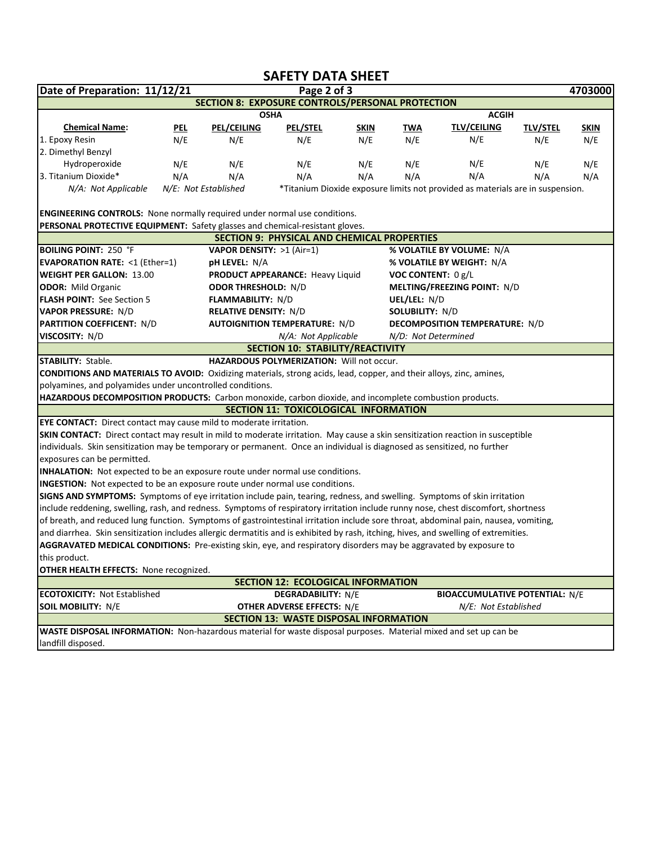|                                                                                                                                      |                                                            |                                     | <b>SAFETY DATA SHEET</b>                           |             |                                       |                                                                                |                 |             |  |
|--------------------------------------------------------------------------------------------------------------------------------------|------------------------------------------------------------|-------------------------------------|----------------------------------------------------|-------------|---------------------------------------|--------------------------------------------------------------------------------|-----------------|-------------|--|
| Date of Preparation: 11/12/21                                                                                                        |                                                            |                                     | Page 2 of 3                                        |             |                                       |                                                                                |                 | 4703000     |  |
|                                                                                                                                      |                                                            |                                     | SECTION 8: EXPOSURE CONTROLS/PERSONAL PROTECTION   |             |                                       |                                                                                |                 |             |  |
|                                                                                                                                      |                                                            |                                     | <b>OSHA</b>                                        |             |                                       | <b>ACGIH</b>                                                                   |                 |             |  |
| <b>Chemical Name:</b>                                                                                                                | <u>PEL</u>                                                 | <b>PEL/CEILING</b>                  | <b>PEL/STEL</b>                                    | <b>SKIN</b> | <b>TWA</b>                            | <b>TLV/CEILING</b>                                                             | <b>TLV/STEL</b> | <b>SKIN</b> |  |
| 1. Epoxy Resin                                                                                                                       | N/E                                                        | N/E                                 | N/E                                                | N/E         | N/E                                   | N/E                                                                            | N/E             | N/E         |  |
| 2. Dimethyl Benzyl                                                                                                                   |                                                            |                                     |                                                    |             |                                       |                                                                                |                 |             |  |
| Hydroperoxide                                                                                                                        | N/E                                                        | N/E                                 | N/E                                                | N/E         | N/E                                   | N/E                                                                            | N/E             | N/E         |  |
| 3. Titanium Dioxide*                                                                                                                 | N/A                                                        | N/A                                 | N/A                                                | N/A         | N/A                                   | N/A                                                                            | N/A             | N/A         |  |
| N/A: Not Applicable                                                                                                                  |                                                            | N/E: Not Established                |                                                    |             |                                       | *Titanium Dioxide exposure limits not provided as materials are in suspension. |                 |             |  |
|                                                                                                                                      |                                                            |                                     |                                                    |             |                                       |                                                                                |                 |             |  |
| <b>ENGINEERING CONTROLS:</b> None normally required under normal use conditions.                                                     |                                                            |                                     |                                                    |             |                                       |                                                                                |                 |             |  |
| PERSONAL PROTECTIVE EQUIPMENT: Safety glasses and chemical-resistant gloves.                                                         |                                                            |                                     |                                                    |             |                                       |                                                                                |                 |             |  |
|                                                                                                                                      |                                                            |                                     | <b>SECTION 9: PHYSICAL AND CHEMICAL PROPERTIES</b> |             |                                       |                                                                                |                 |             |  |
| <b>BOILING POINT: 250 °F</b>                                                                                                         |                                                            | <b>VAPOR DENSITY: &gt;1 (Air=1)</b> |                                                    |             |                                       | % VOLATILE BY VOLUME: N/A                                                      |                 |             |  |
| <b>EVAPORATION RATE: &lt;1 (Ether=1)</b>                                                                                             |                                                            | <b>pH LEVEL: N/A</b>                |                                                    |             |                                       | % VOLATILE BY WEIGHT: N/A                                                      |                 |             |  |
| <b>WEIGHT PER GALLON: 13.00</b>                                                                                                      |                                                            |                                     | PRODUCT APPEARANCE: Heavy Liquid                   |             | VOC CONTENT: 0 g/L                    |                                                                                |                 |             |  |
| <b>ODOR:</b> Mild Organic                                                                                                            |                                                            | <b>ODOR THRESHOLD: N/D</b>          |                                                    |             | MELTING/FREEZING POINT: N/D           |                                                                                |                 |             |  |
| FLASH POINT: See Section 5                                                                                                           |                                                            | <b>FLAMMABILITY: N/D</b>            |                                                    |             | UEL/LEL: N/D                          |                                                                                |                 |             |  |
|                                                                                                                                      | <b>VAPOR PRESSURE: N/D</b><br><b>RELATIVE DENSITY: N/D</b> |                                     |                                                    |             | SOLUBILITY: N/D                       |                                                                                |                 |             |  |
| <b>PARTITION COEFFICENT: N/D</b>                                                                                                     |                                                            |                                     | <b>AUTOIGNITION TEMPERATURE: N/D</b>               |             | <b>DECOMPOSITION TEMPERATURE: N/D</b> |                                                                                |                 |             |  |
| VISCOSITY: N/D<br>N/D: Not Determined<br>N/A: Not Applicable                                                                         |                                                            |                                     |                                                    |             |                                       |                                                                                |                 |             |  |
|                                                                                                                                      |                                                            |                                     | <b>SECTION 10: STABILITY/REACTIVITY</b>            |             |                                       |                                                                                |                 |             |  |
| <b>STABILITY: Stable.</b>                                                                                                            |                                                            |                                     | <b>HAZARDOUS POLYMERIZATION: Will not occur.</b>   |             |                                       |                                                                                |                 |             |  |
| <b>CONDITIONS AND MATERIALS TO AVOID:</b> Oxidizing materials, strong acids, lead, copper, and their alloys, zinc, amines,           |                                                            |                                     |                                                    |             |                                       |                                                                                |                 |             |  |
| polyamines, and polyamides under uncontrolled conditions.                                                                            |                                                            |                                     |                                                    |             |                                       |                                                                                |                 |             |  |
| HAZARDOUS DECOMPOSITION PRODUCTS: Carbon monoxide, carbon dioxide, and incomplete combustion products.                               |                                                            |                                     |                                                    |             |                                       |                                                                                |                 |             |  |
|                                                                                                                                      |                                                            |                                     | SECTION 11: TOXICOLOGICAL INFORMATION              |             |                                       |                                                                                |                 |             |  |
| EYE CONTACT: Direct contact may cause mild to moderate irritation.                                                                   |                                                            |                                     |                                                    |             |                                       |                                                                                |                 |             |  |
| SKIN CONTACT: Direct contact may result in mild to moderate irritation. May cause a skin sensitization reaction in susceptible       |                                                            |                                     |                                                    |             |                                       |                                                                                |                 |             |  |
| individuals. Skin sensitization may be temporary or permanent. Once an individual is diagnosed as sensitized, no further             |                                                            |                                     |                                                    |             |                                       |                                                                                |                 |             |  |
| exposures can be permitted.                                                                                                          |                                                            |                                     |                                                    |             |                                       |                                                                                |                 |             |  |
| <b>INHALATION:</b> Not expected to be an exposure route under normal use conditions.                                                 |                                                            |                                     |                                                    |             |                                       |                                                                                |                 |             |  |
| <b>INGESTION:</b> Not expected to be an exposure route under normal use conditions.                                                  |                                                            |                                     |                                                    |             |                                       |                                                                                |                 |             |  |
| SIGNS AND SYMPTOMS: Symptoms of eye irritation include pain, tearing, redness, and swelling. Symptoms of skin irritation             |                                                            |                                     |                                                    |             |                                       |                                                                                |                 |             |  |
| include reddening, swelling, rash, and redness. Symptoms of respiratory irritation include runny nose, chest discomfort, shortness   |                                                            |                                     |                                                    |             |                                       |                                                                                |                 |             |  |
| of breath, and reduced lung function. Symptoms of gastrointestinal irritation include sore throat, abdominal pain, nausea, vomiting, |                                                            |                                     |                                                    |             |                                       |                                                                                |                 |             |  |
| and diarrhea. Skin sensitization includes allergic dermatitis and is exhibited by rash, itching, hives, and swelling of extremities. |                                                            |                                     |                                                    |             |                                       |                                                                                |                 |             |  |
| AGGRAVATED MEDICAL CONDITIONS: Pre-existing skin, eye, and respiratory disorders may be aggravated by exposure to                    |                                                            |                                     |                                                    |             |                                       |                                                                                |                 |             |  |
| this product.                                                                                                                        |                                                            |                                     |                                                    |             |                                       |                                                                                |                 |             |  |
| OTHER HEALTH EFFECTS: None recognized.                                                                                               |                                                            |                                     |                                                    |             |                                       |                                                                                |                 |             |  |
| <b>SECTION 12: ECOLOGICAL INFORMATION</b>                                                                                            |                                                            |                                     |                                                    |             |                                       |                                                                                |                 |             |  |
| <b>ECOTOXICITY: Not Established</b>                                                                                                  |                                                            |                                     | <b>DEGRADABILITY: N/E</b>                          |             |                                       | <b>BIOACCUMULATIVE POTENTIAL: N/E</b>                                          |                 |             |  |
| <b>SOIL MOBILITY: N/E</b>                                                                                                            |                                                            |                                     | <b>OTHER ADVERSE EFFECTS: N/E</b>                  |             |                                       | N/E: Not Established                                                           |                 |             |  |
|                                                                                                                                      |                                                            |                                     | <b>SECTION 13: WASTE DISPOSAL INFORMATION</b>      |             |                                       |                                                                                |                 |             |  |
| WASTE DISPOSAL INFORMATION: Non-hazardous material for waste disposal purposes. Material mixed and set up can be                     |                                                            |                                     |                                                    |             |                                       |                                                                                |                 |             |  |
| landfill disposed.                                                                                                                   |                                                            |                                     |                                                    |             |                                       |                                                                                |                 |             |  |
|                                                                                                                                      |                                                            |                                     |                                                    |             |                                       |                                                                                |                 |             |  |